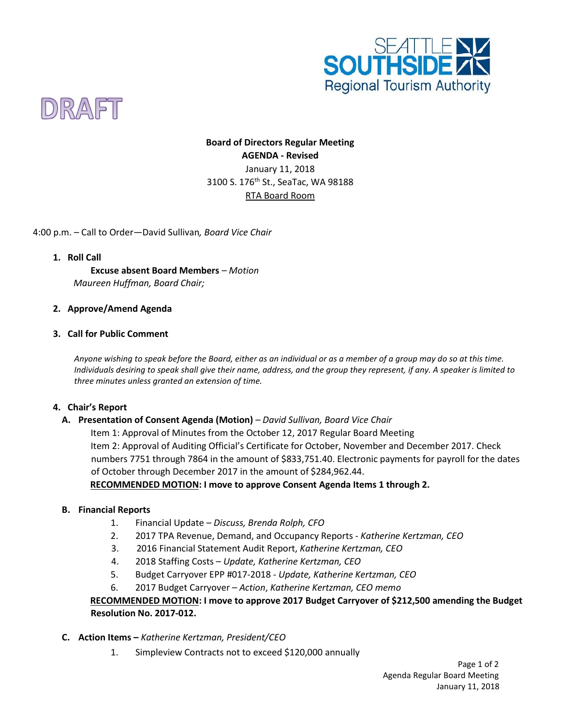



# **Board of Directors Regular Meeting AGENDA - Revised** January 11, 2018 3100 S. 176<sup>th</sup> St., SeaTac, WA 98188 RTA Board Room

4:00 p.m. – Call to Order—David Sullivan*, Board Vice Chair* 

**1. Roll Call**

**Excuse absent Board Members** *– Motion Maureen Huffman, Board Chair;* 

### **2. Approve/Amend Agenda**

#### **3. Call for Public Comment**

*Anyone wishing to speak before the Board, either as an individual or as a member of a group may do so at this time. Individuals desiring to speak shall give their name, address, and the group they represent, if any. A speaker is limited to three minutes unless granted an extension of time.*

### **4. Chair's Report**

**A. Presentation of Consent Agenda (Motion)** *– David Sullivan, Board Vice Chair*

Item 1: Approval of Minutes from the October 12, 2017 Regular Board Meeting Item 2: Approval of Auditing Official's Certificate for October, November and December 2017. Check numbers 7751 through 7864 in the amount of \$833,751.40. Electronic payments for payroll for the dates of October through December 2017 in the amount of \$284,962.44. **RECOMMENDED MOTION: I move to approve Consent Agenda Items 1 through 2.** 

### **B. Financial Reports**

- 1. Financial Update *Discuss, Brenda Rolph, CFO*
- 2. 2017 TPA Revenue, Demand, and Occupancy Reports *Katherine Kertzman, CEO*
- 3. 2016 Financial Statement Audit Report, *Katherine Kertzman, CEO*
- 4. 2018 Staffing Costs *Update, Katherine Kertzman, CEO*
- 5. Budget Carryover EPP #017-2018 *Update, Katherine Kertzman, CEO*
- 6. 2017 Budget Carryover *Action*, *Katherine Kertzman, CEO memo*

**RECOMMENDED MOTION: I move to approve 2017 Budget Carryover of \$212,500 amending the Budget Resolution No. 2017-012.**

- **C. Action Items –** *Katherine Kertzman, President/CEO*
	- 1. Simpleview Contracts not to exceed \$120,000 annually